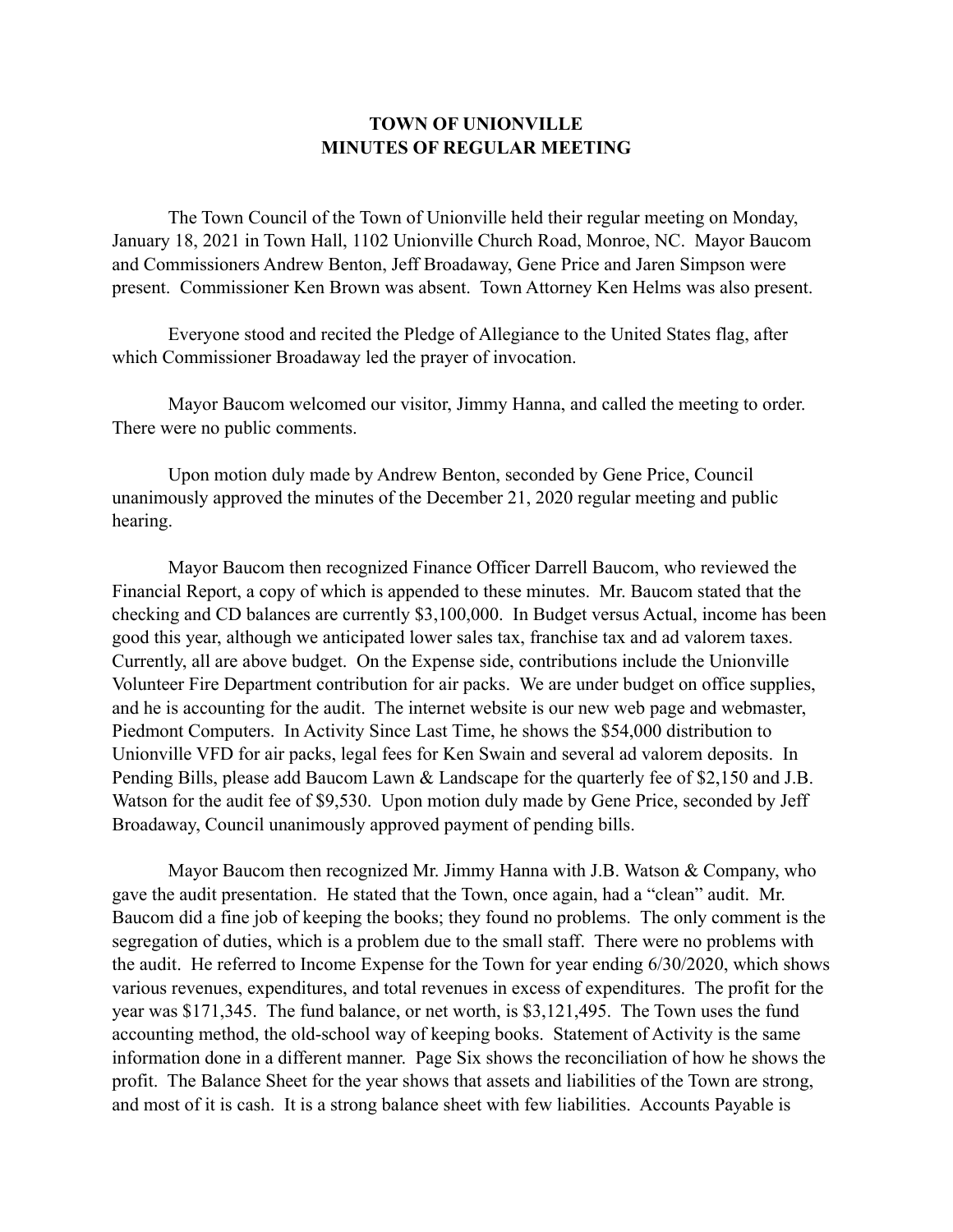## **TOWN OF UNIONVILLE MINUTES OF REGULAR MEETING**

 The Town Council of the Town of Unionville held their regular meeting on Monday, January 18, 2021 in Town Hall, 1102 Unionville Church Road, Monroe, NC. Mayor Baucom and Commissioners Andrew Benton, Jeff Broadaway, Gene Price and Jaren Simpson were present. Commissioner Ken Brown was absent. Town Attorney Ken Helms was also present.

 Everyone stood and recited the Pledge of Allegiance to the United States flag, after which Commissioner Broadaway led the prayer of invocation.

 Mayor Baucom welcomed our visitor, Jimmy Hanna, and called the meeting to order. There were no public comments.

 Upon motion duly made by Andrew Benton, seconded by Gene Price, Council unanimously approved the minutes of the December 21, 2020 regular meeting and public hearing.

 Mayor Baucom then recognized Finance Officer Darrell Baucom, who reviewed the Financial Report, a copy of which is appended to these minutes. Mr. Baucom stated that the checking and CD balances are currently \$3,100,000. In Budget versus Actual, income has been good this year, although we anticipated lower sales tax, franchise tax and ad valorem taxes. Currently, all are above budget. On the Expense side, contributions include the Unionville Volunteer Fire Department contribution for air packs. We are under budget on office supplies, and he is accounting for the audit. The internet website is our new web page and webmaster, Piedmont Computers. In Activity Since Last Time, he shows the \$54,000 distribution to Unionville VFD for air packs, legal fees for Ken Swain and several ad valorem deposits. In Pending Bills, please add Baucom Lawn & Landscape for the quarterly fee of \$2,150 and J.B. Watson for the audit fee of \$9,530. Upon motion duly made by Gene Price, seconded by Jeff Broadaway, Council unanimously approved payment of pending bills.

 Mayor Baucom then recognized Mr. Jimmy Hanna with J.B. Watson & Company, who gave the audit presentation. He stated that the Town, once again, had a "clean" audit. Mr. Baucom did a fine job of keeping the books; they found no problems. The only comment is the segregation of duties, which is a problem due to the small staff. There were no problems with the audit. He referred to Income Expense for the Town for year ending 6/30/2020, which shows various revenues, expenditures, and total revenues in excess of expenditures. The profit for the year was \$171,345. The fund balance, or net worth, is \$3,121,495. The Town uses the fund accounting method, the old-school way of keeping books. Statement of Activity is the same information done in a different manner. Page Six shows the reconciliation of how he shows the profit. The Balance Sheet for the year shows that assets and liabilities of the Town are strong, and most of it is cash. It is a strong balance sheet with few liabilities. Accounts Payable is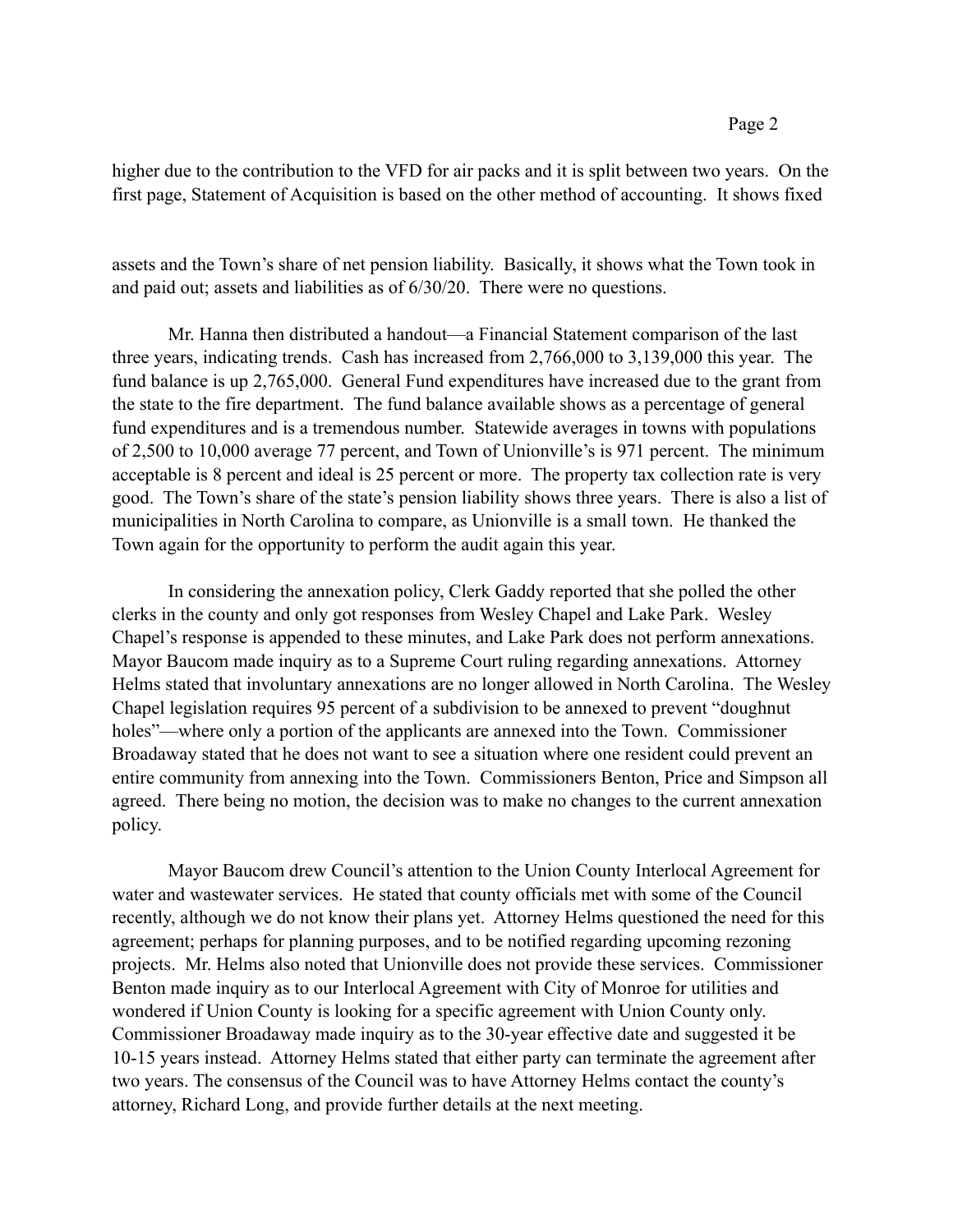higher due to the contribution to the VFD for air packs and it is split between two years. On the first page, Statement of Acquisition is based on the other method of accounting. It shows fixed

assets and the Town's share of net pension liability. Basically, it shows what the Town took in and paid out; assets and liabilities as of 6/30/20. There were no questions.

 Mr. Hanna then distributed a handout—a Financial Statement comparison of the last three years, indicating trends. Cash has increased from 2,766,000 to 3,139,000 this year. The fund balance is up 2,765,000. General Fund expenditures have increased due to the grant from the state to the fire department. The fund balance available shows as a percentage of general fund expenditures and is a tremendous number. Statewide averages in towns with populations of 2,500 to 10,000 average 77 percent, and Town of Unionville's is 971 percent. The minimum acceptable is 8 percent and ideal is 25 percent or more. The property tax collection rate is very good. The Town's share of the state's pension liability shows three years. There is also a list of municipalities in North Carolina to compare, as Unionville is a small town. He thanked the Town again for the opportunity to perform the audit again this year.

 In considering the annexation policy, Clerk Gaddy reported that she polled the other clerks in the county and only got responses from Wesley Chapel and Lake Park. Wesley Chapel's response is appended to these minutes, and Lake Park does not perform annexations. Mayor Baucom made inquiry as to a Supreme Court ruling regarding annexations. Attorney Helms stated that involuntary annexations are no longer allowed in North Carolina. The Wesley Chapel legislation requires 95 percent of a subdivision to be annexed to prevent "doughnut holes"—where only a portion of the applicants are annexed into the Town. Commissioner Broadaway stated that he does not want to see a situation where one resident could prevent an entire community from annexing into the Town. Commissioners Benton, Price and Simpson all agreed. There being no motion, the decision was to make no changes to the current annexation policy.

 Mayor Baucom drew Council's attention to the Union County Interlocal Agreement for water and wastewater services. He stated that county officials met with some of the Council recently, although we do not know their plans yet. Attorney Helms questioned the need for this agreement; perhaps for planning purposes, and to be notified regarding upcoming rezoning projects. Mr. Helms also noted that Unionville does not provide these services. Commissioner Benton made inquiry as to our Interlocal Agreement with City of Monroe for utilities and wondered if Union County is looking for a specific agreement with Union County only. Commissioner Broadaway made inquiry as to the 30-year effective date and suggested it be 10-15 years instead. Attorney Helms stated that either party can terminate the agreement after two years. The consensus of the Council was to have Attorney Helms contact the county's attorney, Richard Long, and provide further details at the next meeting.